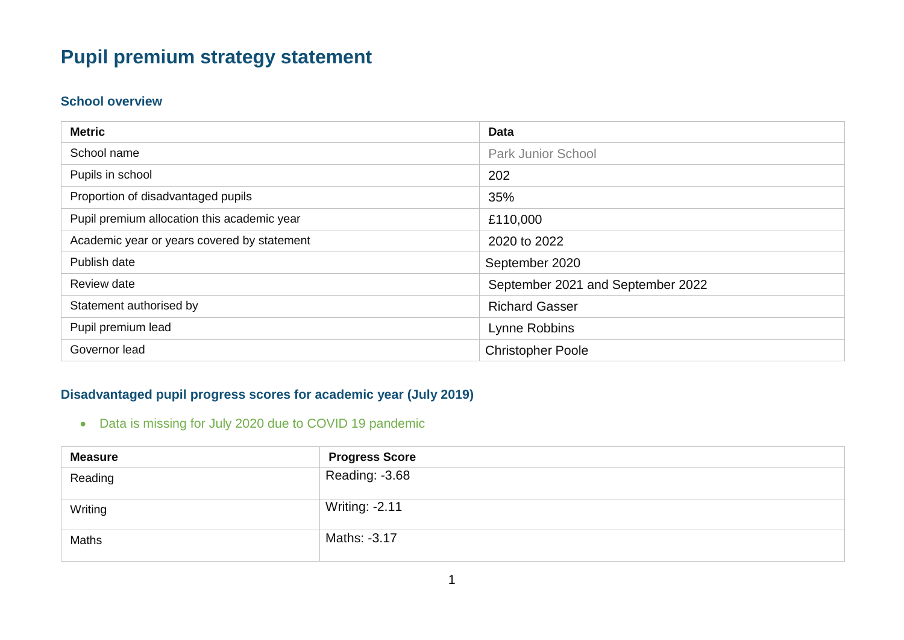# **Pupil premium strategy statement**

#### **School overview**

| <b>Metric</b>                               | <b>Data</b>                       |
|---------------------------------------------|-----------------------------------|
| School name                                 | <b>Park Junior School</b>         |
| Pupils in school                            | 202                               |
| Proportion of disadvantaged pupils          | 35%                               |
| Pupil premium allocation this academic year | £110,000                          |
| Academic year or years covered by statement | 2020 to 2022                      |
| Publish date                                | September 2020                    |
| Review date                                 | September 2021 and September 2022 |
| Statement authorised by                     | <b>Richard Gasser</b>             |
| Pupil premium lead                          | Lynne Robbins                     |
| Governor lead                               | <b>Christopher Poole</b>          |

#### **Disadvantaged pupil progress scores for academic year (July 2019)**

Data is missing for July 2020 due to COVID 19 pandemic

| <b>Measure</b> | <b>Progress Score</b> |
|----------------|-----------------------|
| Reading        | Reading: -3.68        |
| Writing        | <b>Writing: -2.11</b> |
| <b>Maths</b>   | Maths: -3.17          |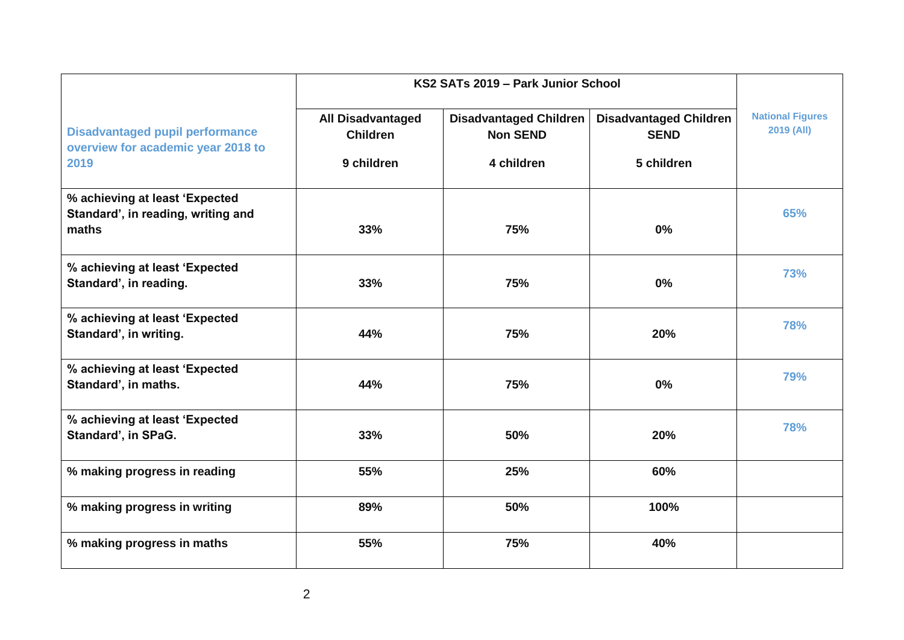|                                                                                      | KS2 SATs 2019 - Park Junior School                        |                                                                |                                                            |                                       |
|--------------------------------------------------------------------------------------|-----------------------------------------------------------|----------------------------------------------------------------|------------------------------------------------------------|---------------------------------------|
| <b>Disadvantaged pupil performance</b><br>overview for academic year 2018 to<br>2019 | <b>All Disadvantaged</b><br><b>Children</b><br>9 children | <b>Disadvantaged Children</b><br><b>Non SEND</b><br>4 children | <b>Disadvantaged Children</b><br><b>SEND</b><br>5 children | <b>National Figures</b><br>2019 (All) |
| % achieving at least 'Expected<br>Standard', in reading, writing and<br>maths        | 33%                                                       | 75%                                                            | 0%                                                         | 65%                                   |
| % achieving at least 'Expected<br>Standard', in reading.                             | 33%                                                       | 75%                                                            | 0%                                                         | 73%                                   |
| % achieving at least 'Expected<br>Standard', in writing.                             | 44%                                                       | 75%                                                            | 20%                                                        | <b>78%</b>                            |
| % achieving at least 'Expected<br>Standard', in maths.                               | 44%                                                       | 75%                                                            | 0%                                                         | 79%                                   |
| % achieving at least 'Expected<br>Standard', in SPaG.                                | 33%                                                       | 50%                                                            | 20%                                                        | <b>78%</b>                            |
| % making progress in reading                                                         | 55%                                                       | 25%                                                            | 60%                                                        |                                       |
| % making progress in writing                                                         | 89%                                                       | 50%                                                            | 100%                                                       |                                       |
| % making progress in maths                                                           | 55%                                                       | 75%                                                            | 40%                                                        |                                       |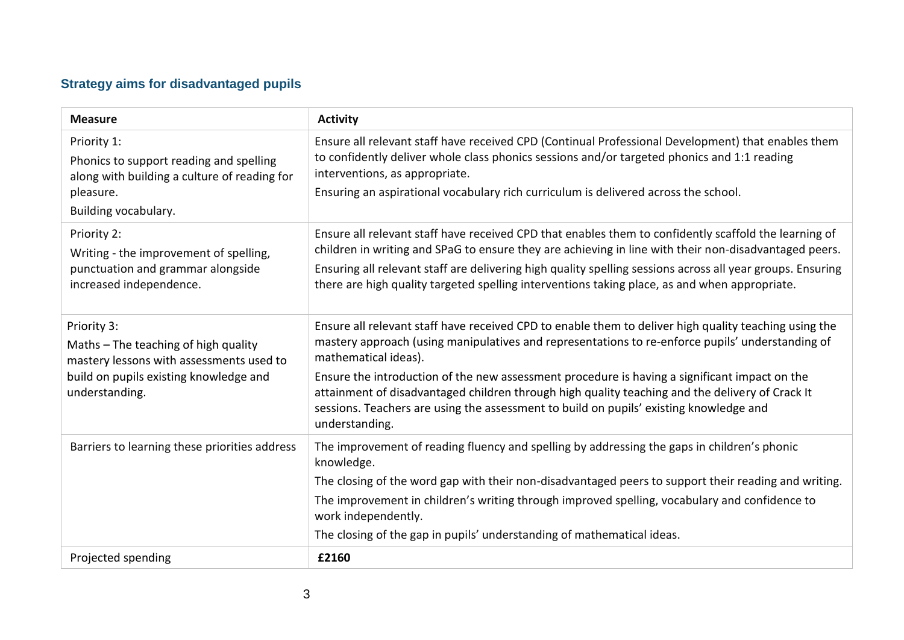# **Strategy aims for disadvantaged pupils**

| <b>Measure</b>                                                                                                                                              | <b>Activity</b>                                                                                                                                                                                                                                                                                                                                                                                                                                                                                                                                   |
|-------------------------------------------------------------------------------------------------------------------------------------------------------------|---------------------------------------------------------------------------------------------------------------------------------------------------------------------------------------------------------------------------------------------------------------------------------------------------------------------------------------------------------------------------------------------------------------------------------------------------------------------------------------------------------------------------------------------------|
| Priority 1:<br>Phonics to support reading and spelling<br>along with building a culture of reading for<br>pleasure.<br>Building vocabulary.                 | Ensure all relevant staff have received CPD (Continual Professional Development) that enables them<br>to confidently deliver whole class phonics sessions and/or targeted phonics and 1:1 reading<br>interventions, as appropriate.<br>Ensuring an aspirational vocabulary rich curriculum is delivered across the school.                                                                                                                                                                                                                        |
| Priority 2:<br>Writing - the improvement of spelling,<br>punctuation and grammar alongside<br>increased independence.                                       | Ensure all relevant staff have received CPD that enables them to confidently scaffold the learning of<br>children in writing and SPaG to ensure they are achieving in line with their non-disadvantaged peers.<br>Ensuring all relevant staff are delivering high quality spelling sessions across all year groups. Ensuring<br>there are high quality targeted spelling interventions taking place, as and when appropriate.                                                                                                                     |
| Priority 3:<br>Maths - The teaching of high quality<br>mastery lessons with assessments used to<br>build on pupils existing knowledge and<br>understanding. | Ensure all relevant staff have received CPD to enable them to deliver high quality teaching using the<br>mastery approach (using manipulatives and representations to re-enforce pupils' understanding of<br>mathematical ideas).<br>Ensure the introduction of the new assessment procedure is having a significant impact on the<br>attainment of disadvantaged children through high quality teaching and the delivery of Crack It<br>sessions. Teachers are using the assessment to build on pupils' existing knowledge and<br>understanding. |
| Barriers to learning these priorities address                                                                                                               | The improvement of reading fluency and spelling by addressing the gaps in children's phonic<br>knowledge.<br>The closing of the word gap with their non-disadvantaged peers to support their reading and writing.<br>The improvement in children's writing through improved spelling, vocabulary and confidence to<br>work independently.<br>The closing of the gap in pupils' understanding of mathematical ideas.                                                                                                                               |
| Projected spending                                                                                                                                          | £2160                                                                                                                                                                                                                                                                                                                                                                                                                                                                                                                                             |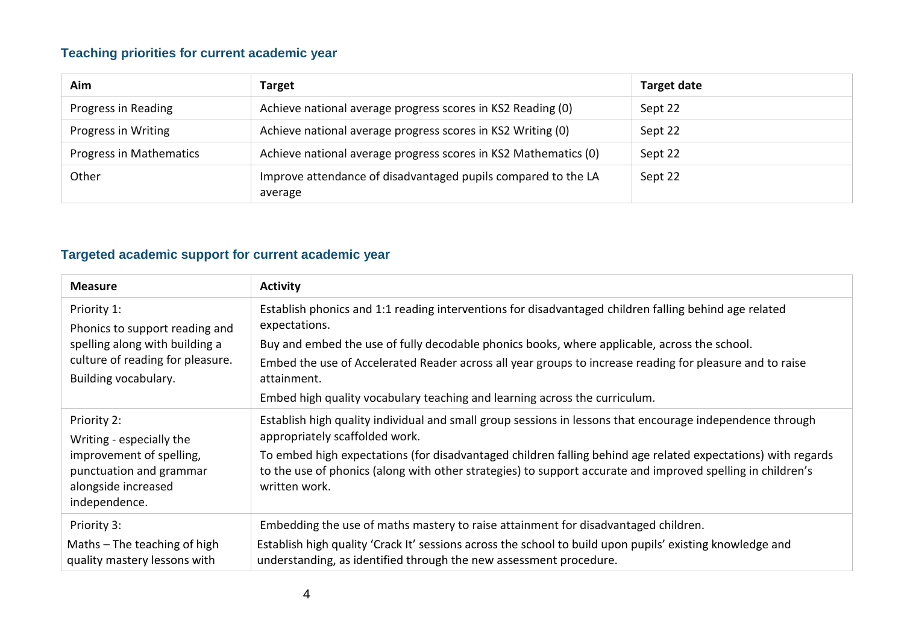#### **Teaching priorities for current academic year**

| Aim                     | <b>Target</b>                                                            | Target date |
|-------------------------|--------------------------------------------------------------------------|-------------|
| Progress in Reading     | Achieve national average progress scores in KS2 Reading (0)              | Sept 22     |
| Progress in Writing     | Achieve national average progress scores in KS2 Writing (0)              | Sept 22     |
| Progress in Mathematics | Achieve national average progress scores in KS2 Mathematics (0)          | Sept 22     |
| Other                   | Improve attendance of disadvantaged pupils compared to the LA<br>average | Sept 22     |

## **Targeted academic support for current academic year**

| <b>Measure</b>                                                                                                                              | <b>Activity</b>                                                                                                                                                                                                                                                                                                                                                                                                                 |
|---------------------------------------------------------------------------------------------------------------------------------------------|---------------------------------------------------------------------------------------------------------------------------------------------------------------------------------------------------------------------------------------------------------------------------------------------------------------------------------------------------------------------------------------------------------------------------------|
| Priority 1:<br>Phonics to support reading and<br>spelling along with building a<br>culture of reading for pleasure.<br>Building vocabulary. | Establish phonics and 1:1 reading interventions for disadvantaged children falling behind age related<br>expectations.<br>Buy and embed the use of fully decodable phonics books, where applicable, across the school.<br>Embed the use of Accelerated Reader across all year groups to increase reading for pleasure and to raise<br>attainment.<br>Embed high quality vocabulary teaching and learning across the curriculum. |
| Priority 2:<br>Writing - especially the<br>improvement of spelling,<br>punctuation and grammar<br>alongside increased<br>independence.      | Establish high quality individual and small group sessions in lessons that encourage independence through<br>appropriately scaffolded work.<br>To embed high expectations (for disadvantaged children falling behind age related expectations) with regards<br>to the use of phonics (along with other strategies) to support accurate and improved spelling in children's<br>written work.                                     |
| Priority 3:<br>Maths $-$ The teaching of high<br>quality mastery lessons with                                                               | Embedding the use of maths mastery to raise attainment for disadvantaged children.<br>Establish high quality 'Crack It' sessions across the school to build upon pupils' existing knowledge and<br>understanding, as identified through the new assessment procedure.                                                                                                                                                           |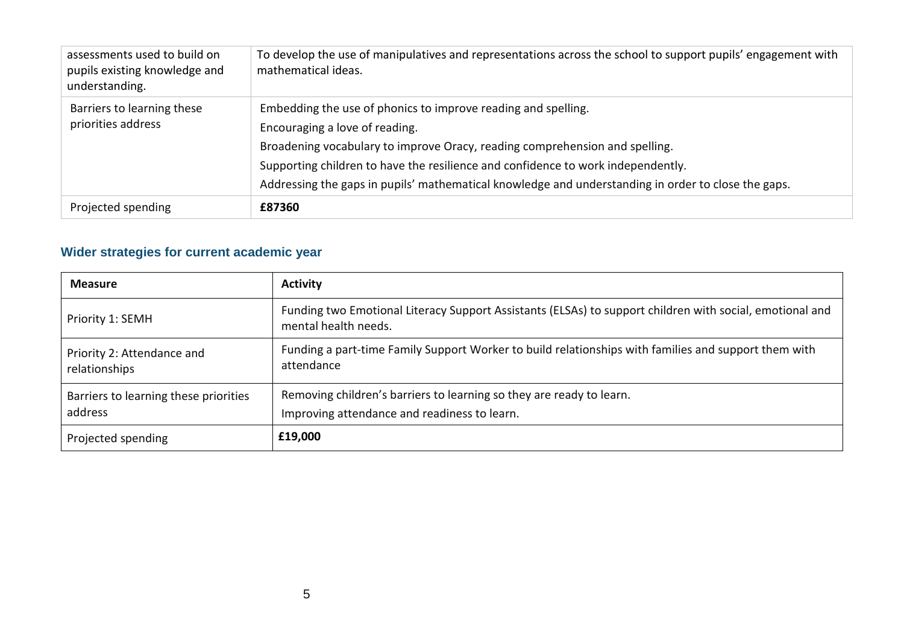| assessments used to build on<br>pupils existing knowledge and<br>understanding. | To develop the use of manipulatives and representations across the school to support pupils' engagement with<br>mathematical ideas.                                                                                                                                                                                                                                       |
|---------------------------------------------------------------------------------|---------------------------------------------------------------------------------------------------------------------------------------------------------------------------------------------------------------------------------------------------------------------------------------------------------------------------------------------------------------------------|
| Barriers to learning these<br>priorities address                                | Embedding the use of phonics to improve reading and spelling.<br>Encouraging a love of reading.<br>Broadening vocabulary to improve Oracy, reading comprehension and spelling.<br>Supporting children to have the resilience and confidence to work independently.<br>Addressing the gaps in pupils' mathematical knowledge and understanding in order to close the gaps. |
| Projected spending                                                              | £87360                                                                                                                                                                                                                                                                                                                                                                    |

## **Wider strategies for current academic year**

| <b>Measure</b>                                   | <b>Activity</b>                                                                                                                  |
|--------------------------------------------------|----------------------------------------------------------------------------------------------------------------------------------|
| Priority 1: SEMH                                 | Funding two Emotional Literacy Support Assistants (ELSAs) to support children with social, emotional and<br>mental health needs. |
| Priority 2: Attendance and<br>relationships      | Funding a part-time Family Support Worker to build relationships with families and support them with<br>attendance               |
| Barriers to learning these priorities<br>address | Removing children's barriers to learning so they are ready to learn.<br>Improving attendance and readiness to learn.             |
| Projected spending                               | £19,000                                                                                                                          |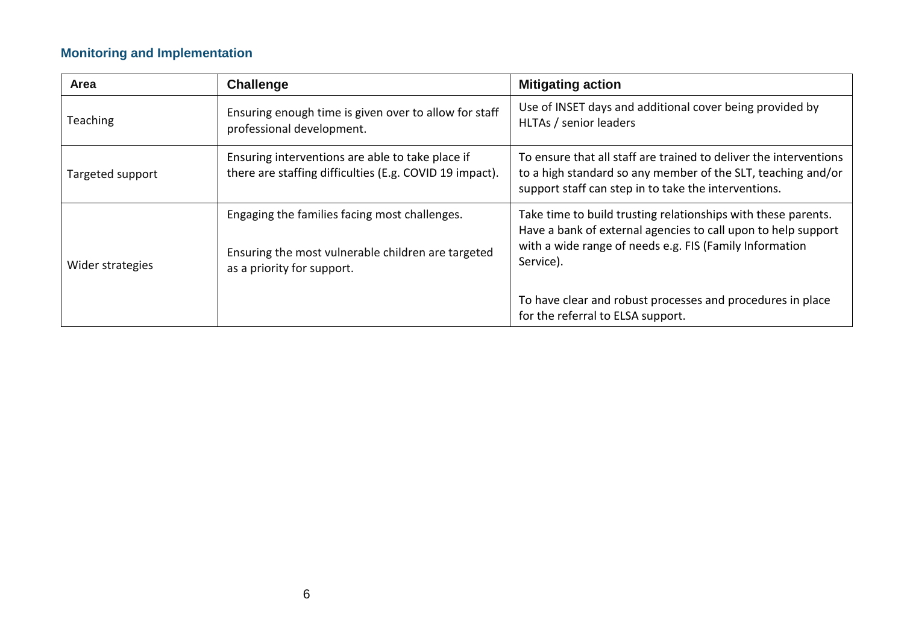#### **Monitoring and Implementation**

| Area             | Challenge                                                                                                                         | <b>Mitigating action</b>                                                                                                                                                                               |
|------------------|-----------------------------------------------------------------------------------------------------------------------------------|--------------------------------------------------------------------------------------------------------------------------------------------------------------------------------------------------------|
| Teaching         | Ensuring enough time is given over to allow for staff<br>professional development.                                                | Use of INSET days and additional cover being provided by<br>HLTAs / senior leaders                                                                                                                     |
| Targeted support | Ensuring interventions are able to take place if<br>there are staffing difficulties (E.g. COVID 19 impact).                       | To ensure that all staff are trained to deliver the interventions<br>to a high standard so any member of the SLT, teaching and/or<br>support staff can step in to take the interventions.              |
| Wider strategies | Engaging the families facing most challenges.<br>Ensuring the most vulnerable children are targeted<br>as a priority for support. | Take time to build trusting relationships with these parents.<br>Have a bank of external agencies to call upon to help support<br>with a wide range of needs e.g. FIS (Family Information<br>Service). |
|                  |                                                                                                                                   | To have clear and robust processes and procedures in place<br>for the referral to ELSA support.                                                                                                        |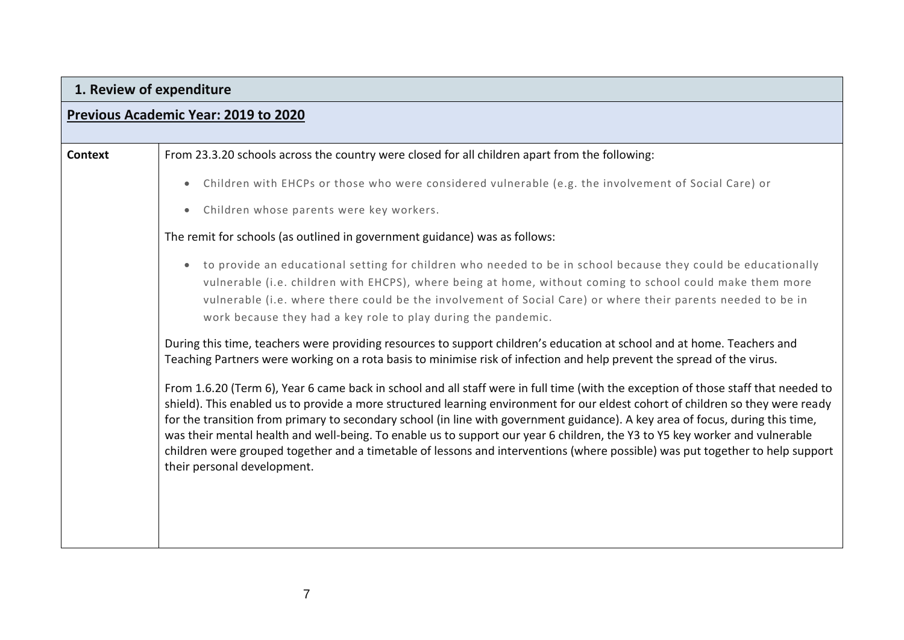# **1. Review of expenditure**

## **Previous Academic Year: 2019 to 2020**

| Context | From 23.3.20 schools across the country were closed for all children apart from the following:                                                                                                                                                                                                                                                                                                                                                                                                                                                                                                                                                                                                         |
|---------|--------------------------------------------------------------------------------------------------------------------------------------------------------------------------------------------------------------------------------------------------------------------------------------------------------------------------------------------------------------------------------------------------------------------------------------------------------------------------------------------------------------------------------------------------------------------------------------------------------------------------------------------------------------------------------------------------------|
|         | Children with EHCPs or those who were considered vulnerable (e.g. the involvement of Social Care) or                                                                                                                                                                                                                                                                                                                                                                                                                                                                                                                                                                                                   |
|         | Children whose parents were key workers.<br>$\bullet$                                                                                                                                                                                                                                                                                                                                                                                                                                                                                                                                                                                                                                                  |
|         | The remit for schools (as outlined in government guidance) was as follows:                                                                                                                                                                                                                                                                                                                                                                                                                                                                                                                                                                                                                             |
|         | to provide an educational setting for children who needed to be in school because they could be educationally<br>vulnerable (i.e. children with EHCPS), where being at home, without coming to school could make them more<br>vulnerable (i.e. where there could be the involvement of Social Care) or where their parents needed to be in<br>work because they had a key role to play during the pandemic.                                                                                                                                                                                                                                                                                            |
|         | During this time, teachers were providing resources to support children's education at school and at home. Teachers and<br>Teaching Partners were working on a rota basis to minimise risk of infection and help prevent the spread of the virus.                                                                                                                                                                                                                                                                                                                                                                                                                                                      |
|         | From 1.6.20 (Term 6), Year 6 came back in school and all staff were in full time (with the exception of those staff that needed to<br>shield). This enabled us to provide a more structured learning environment for our eldest cohort of children so they were ready<br>for the transition from primary to secondary school (in line with government guidance). A key area of focus, during this time,<br>was their mental health and well-being. To enable us to support our year 6 children, the Y3 to Y5 key worker and vulnerable<br>children were grouped together and a timetable of lessons and interventions (where possible) was put together to help support<br>their personal development. |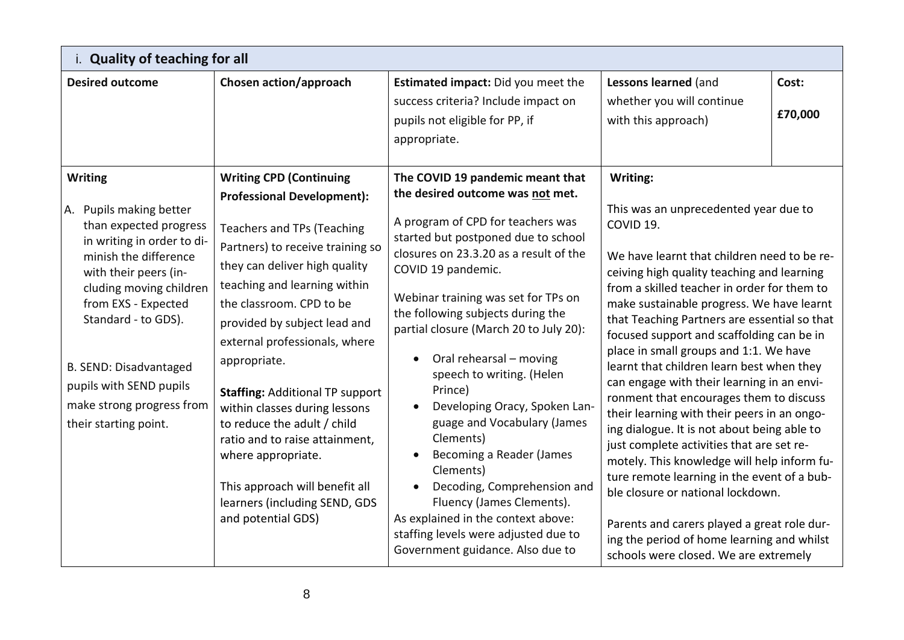| i. Quality of teaching for all                                                                                                                                                                                                                                                                                                          |                                                                                                                                                                                                                                                                                                                                                                                                                                                                                                                                                                                       |                                                                                                                                                                                                                                                                                                                                                                                                                                                                                                                                                                                                                                                                                                               |                                                                                                                                                                                                                                                                                                                                                                                                                                                                                                                                                                                                                                                                                                                                                                                                                                                                                                                                                          |                  |
|-----------------------------------------------------------------------------------------------------------------------------------------------------------------------------------------------------------------------------------------------------------------------------------------------------------------------------------------|---------------------------------------------------------------------------------------------------------------------------------------------------------------------------------------------------------------------------------------------------------------------------------------------------------------------------------------------------------------------------------------------------------------------------------------------------------------------------------------------------------------------------------------------------------------------------------------|---------------------------------------------------------------------------------------------------------------------------------------------------------------------------------------------------------------------------------------------------------------------------------------------------------------------------------------------------------------------------------------------------------------------------------------------------------------------------------------------------------------------------------------------------------------------------------------------------------------------------------------------------------------------------------------------------------------|----------------------------------------------------------------------------------------------------------------------------------------------------------------------------------------------------------------------------------------------------------------------------------------------------------------------------------------------------------------------------------------------------------------------------------------------------------------------------------------------------------------------------------------------------------------------------------------------------------------------------------------------------------------------------------------------------------------------------------------------------------------------------------------------------------------------------------------------------------------------------------------------------------------------------------------------------------|------------------|
| <b>Desired outcome</b>                                                                                                                                                                                                                                                                                                                  | Chosen action/approach                                                                                                                                                                                                                                                                                                                                                                                                                                                                                                                                                                | Estimated impact: Did you meet the<br>success criteria? Include impact on<br>pupils not eligible for PP, if<br>appropriate.                                                                                                                                                                                                                                                                                                                                                                                                                                                                                                                                                                                   | Lessons learned (and<br>whether you will continue<br>with this approach)                                                                                                                                                                                                                                                                                                                                                                                                                                                                                                                                                                                                                                                                                                                                                                                                                                                                                 | Cost:<br>£70,000 |
| <b>Writing</b><br>A. Pupils making better<br>than expected progress<br>in writing in order to di-<br>minish the difference<br>with their peers (in-<br>cluding moving children<br>from EXS - Expected<br>Standard - to GDS).<br>B. SEND: Disadvantaged<br>pupils with SEND pupils<br>make strong progress from<br>their starting point. | <b>Writing CPD (Continuing</b><br><b>Professional Development):</b><br><b>Teachers and TPs (Teaching</b><br>Partners) to receive training so<br>they can deliver high quality<br>teaching and learning within<br>the classroom. CPD to be<br>provided by subject lead and<br>external professionals, where<br>appropriate.<br><b>Staffing: Additional TP support</b><br>within classes during lessons<br>to reduce the adult / child<br>ratio and to raise attainment,<br>where appropriate.<br>This approach will benefit all<br>learners (including SEND, GDS<br>and potential GDS) | The COVID 19 pandemic meant that<br>the desired outcome was not met.<br>A program of CPD for teachers was<br>started but postponed due to school<br>closures on 23.3.20 as a result of the<br>COVID 19 pandemic.<br>Webinar training was set for TPs on<br>the following subjects during the<br>partial closure (March 20 to July 20):<br>Oral rehearsal - moving<br>speech to writing. (Helen<br>Prince)<br>Developing Oracy, Spoken Lan-<br>guage and Vocabulary (James<br>Clements)<br>Becoming a Reader (James<br>Clements)<br>Decoding, Comprehension and<br>Fluency (James Clements).<br>As explained in the context above:<br>staffing levels were adjusted due to<br>Government guidance. Also due to | Writing:<br>This was an unprecedented year due to<br>COVID 19.<br>We have learnt that children need to be re-<br>ceiving high quality teaching and learning<br>from a skilled teacher in order for them to<br>make sustainable progress. We have learnt<br>that Teaching Partners are essential so that<br>focused support and scaffolding can be in<br>place in small groups and 1:1. We have<br>learnt that children learn best when they<br>can engage with their learning in an envi-<br>ronment that encourages them to discuss<br>their learning with their peers in an ongo-<br>ing dialogue. It is not about being able to<br>just complete activities that are set re-<br>motely. This knowledge will help inform fu-<br>ture remote learning in the event of a bub-<br>ble closure or national lockdown.<br>Parents and carers played a great role dur-<br>ing the period of home learning and whilst<br>schools were closed. We are extremely |                  |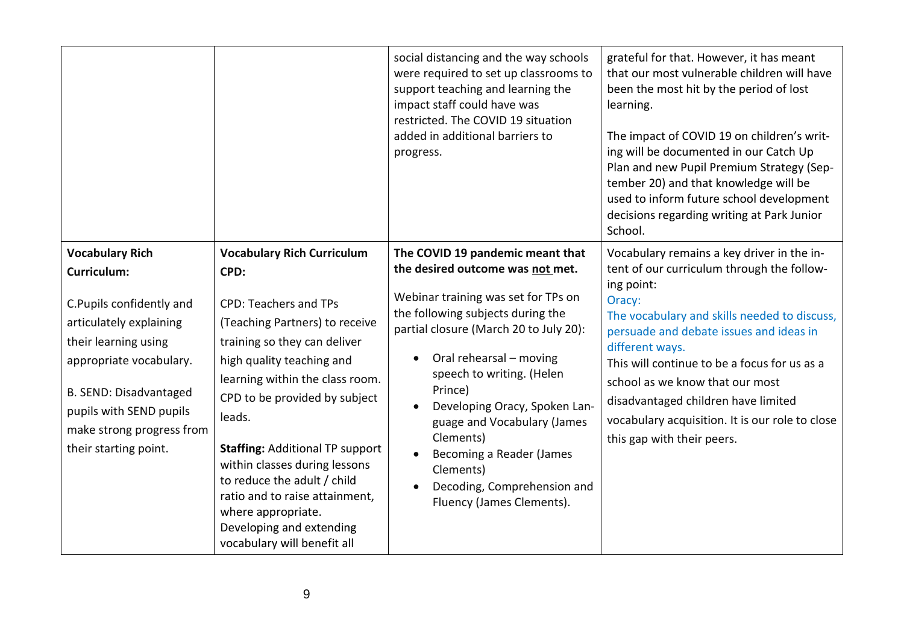|                                                                                                                                                                                                                                                                   |                                                                                                                                                                                                                                                                                                                                                                                                                                                                                     | social distancing and the way schools<br>were required to set up classrooms to<br>support teaching and learning the<br>impact staff could have was<br>restricted. The COVID 19 situation<br>added in additional barriers to<br>progress.                                                                                                                                                                                                        | grateful for that. However, it has meant<br>that our most vulnerable children will have<br>been the most hit by the period of lost<br>learning.<br>The impact of COVID 19 on children's writ-<br>ing will be documented in our Catch Up<br>Plan and new Pupil Premium Strategy (Sep-<br>tember 20) and that knowledge will be<br>used to inform future school development<br>decisions regarding writing at Park Junior<br>School.        |
|-------------------------------------------------------------------------------------------------------------------------------------------------------------------------------------------------------------------------------------------------------------------|-------------------------------------------------------------------------------------------------------------------------------------------------------------------------------------------------------------------------------------------------------------------------------------------------------------------------------------------------------------------------------------------------------------------------------------------------------------------------------------|-------------------------------------------------------------------------------------------------------------------------------------------------------------------------------------------------------------------------------------------------------------------------------------------------------------------------------------------------------------------------------------------------------------------------------------------------|-------------------------------------------------------------------------------------------------------------------------------------------------------------------------------------------------------------------------------------------------------------------------------------------------------------------------------------------------------------------------------------------------------------------------------------------|
| <b>Vocabulary Rich</b><br><b>Curriculum:</b><br>C.Pupils confidently and<br>articulately explaining<br>their learning using<br>appropriate vocabulary.<br>B. SEND: Disadvantaged<br>pupils with SEND pupils<br>make strong progress from<br>their starting point. | <b>Vocabulary Rich Curriculum</b><br>CPD:<br><b>CPD: Teachers and TPs</b><br>(Teaching Partners) to receive<br>training so they can deliver<br>high quality teaching and<br>learning within the class room.<br>CPD to be provided by subject<br>leads.<br><b>Staffing: Additional TP support</b><br>within classes during lessons<br>to reduce the adult / child<br>ratio and to raise attainment,<br>where appropriate.<br>Developing and extending<br>vocabulary will benefit all | The COVID 19 pandemic meant that<br>the desired outcome was not met.<br>Webinar training was set for TPs on<br>the following subjects during the<br>partial closure (March 20 to July 20):<br>Oral rehearsal - moving<br>speech to writing. (Helen<br>Prince)<br>Developing Oracy, Spoken Lan-<br>guage and Vocabulary (James<br>Clements)<br>Becoming a Reader (James<br>Clements)<br>Decoding, Comprehension and<br>Fluency (James Clements). | Vocabulary remains a key driver in the in-<br>tent of our curriculum through the follow-<br>ing point:<br>Oracy:<br>The vocabulary and skills needed to discuss,<br>persuade and debate issues and ideas in<br>different ways.<br>This will continue to be a focus for us as a<br>school as we know that our most<br>disadvantaged children have limited<br>vocabulary acquisition. It is our role to close<br>this gap with their peers. |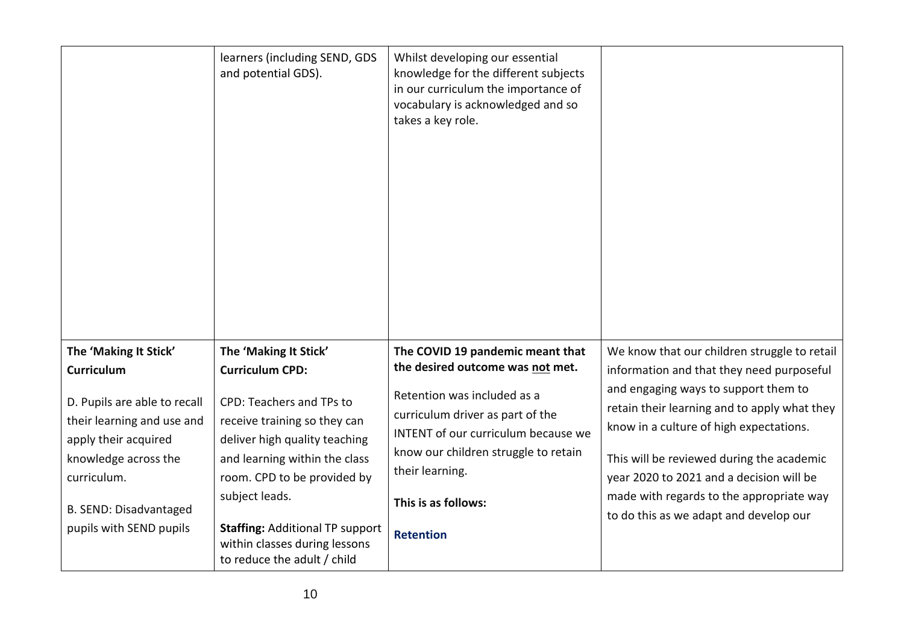|                                                                                                                                                                                | learners (including SEND, GDS<br>and potential GDS).                                                                                                                                                                                                   | Whilst developing our essential<br>knowledge for the different subjects<br>in our curriculum the importance of<br>vocabulary is acknowledged and so<br>takes a key role.                                     |                                                                                                                                                                                                                                                                                                                |
|--------------------------------------------------------------------------------------------------------------------------------------------------------------------------------|--------------------------------------------------------------------------------------------------------------------------------------------------------------------------------------------------------------------------------------------------------|--------------------------------------------------------------------------------------------------------------------------------------------------------------------------------------------------------------|----------------------------------------------------------------------------------------------------------------------------------------------------------------------------------------------------------------------------------------------------------------------------------------------------------------|
| The 'Making It Stick'                                                                                                                                                          | The 'Making It Stick'                                                                                                                                                                                                                                  | The COVID 19 pandemic meant that                                                                                                                                                                             | We know that our children struggle to retail                                                                                                                                                                                                                                                                   |
| <b>Curriculum</b>                                                                                                                                                              | <b>Curriculum CPD:</b>                                                                                                                                                                                                                                 | the desired outcome was not met.                                                                                                                                                                             | information and that they need purposeful                                                                                                                                                                                                                                                                      |
| D. Pupils are able to recall<br>their learning and use and<br>apply their acquired<br>knowledge across the<br>curriculum.<br>B. SEND: Disadvantaged<br>pupils with SEND pupils | CPD: Teachers and TPs to<br>receive training so they can<br>deliver high quality teaching<br>and learning within the class<br>room. CPD to be provided by<br>subject leads.<br><b>Staffing: Additional TP support</b><br>within classes during lessons | Retention was included as a<br>curriculum driver as part of the<br>INTENT of our curriculum because we<br>know our children struggle to retain<br>their learning.<br>This is as follows:<br><b>Retention</b> | and engaging ways to support them to<br>retain their learning and to apply what they<br>know in a culture of high expectations.<br>This will be reviewed during the academic<br>year 2020 to 2021 and a decision will be<br>made with regards to the appropriate way<br>to do this as we adapt and develop our |
|                                                                                                                                                                                | to reduce the adult / child                                                                                                                                                                                                                            |                                                                                                                                                                                                              |                                                                                                                                                                                                                                                                                                                |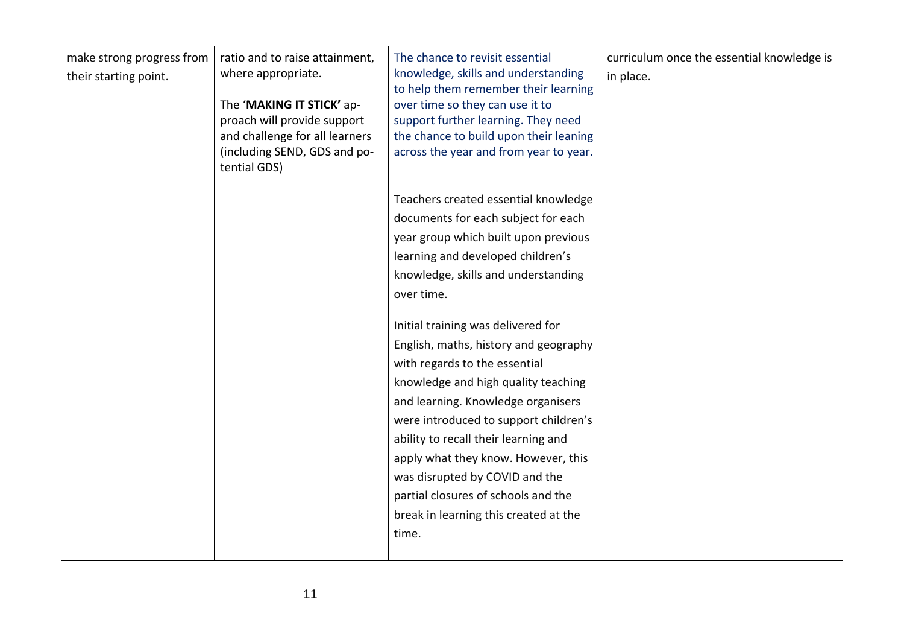| make strong progress from<br>their starting point. | ratio and to raise attainment,<br>where appropriate.<br>The 'MAKING IT STICK' ap-<br>proach will provide support<br>and challenge for all learners<br>(including SEND, GDS and po-<br>tential GDS) | The chance to revisit essential<br>knowledge, skills and understanding<br>to help them remember their learning<br>over time so they can use it to<br>support further learning. They need<br>the chance to build upon their leaning<br>across the year and from year to year.<br>Teachers created essential knowledge<br>documents for each subject for each<br>year group which built upon previous<br>learning and developed children's<br>knowledge, skills and understanding<br>over time.<br>Initial training was delivered for<br>English, maths, history and geography<br>with regards to the essential<br>knowledge and high quality teaching<br>and learning. Knowledge organisers<br>were introduced to support children's<br>ability to recall their learning and<br>apply what they know. However, this<br>was disrupted by COVID and the<br>partial closures of schools and the<br>break in learning this created at the | curriculum once the essential knowledge is<br>in place. |
|----------------------------------------------------|----------------------------------------------------------------------------------------------------------------------------------------------------------------------------------------------------|--------------------------------------------------------------------------------------------------------------------------------------------------------------------------------------------------------------------------------------------------------------------------------------------------------------------------------------------------------------------------------------------------------------------------------------------------------------------------------------------------------------------------------------------------------------------------------------------------------------------------------------------------------------------------------------------------------------------------------------------------------------------------------------------------------------------------------------------------------------------------------------------------------------------------------------|---------------------------------------------------------|
|                                                    |                                                                                                                                                                                                    | time.                                                                                                                                                                                                                                                                                                                                                                                                                                                                                                                                                                                                                                                                                                                                                                                                                                                                                                                                |                                                         |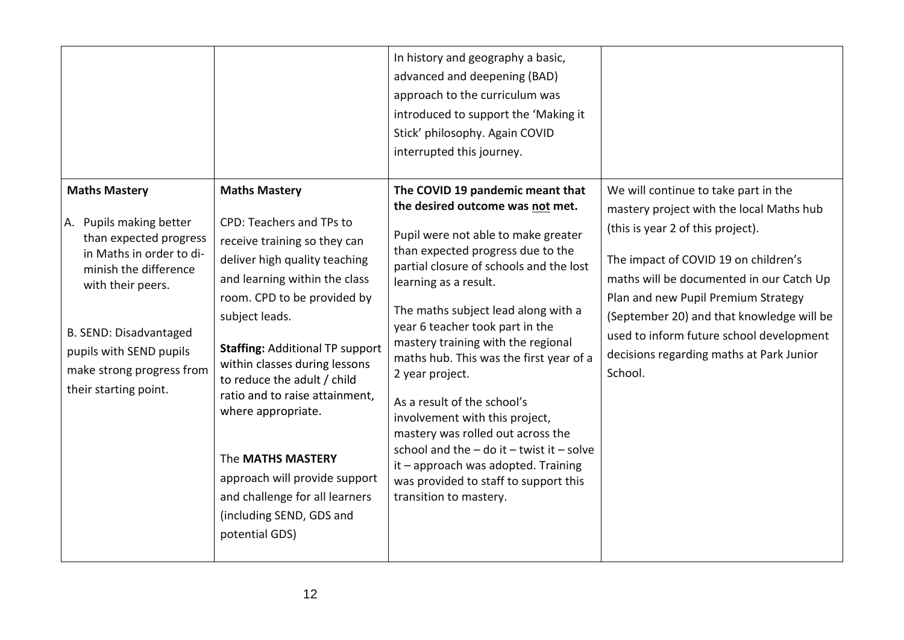|                                                                                                                                                                                                                                                                |                                                                                                                                                                                                                                                                                                                                                                                                                                                                                                             | In history and geography a basic,<br>advanced and deepening (BAD)<br>approach to the curriculum was<br>introduced to support the 'Making it<br>Stick' philosophy. Again COVID<br>interrupted this journey.                                                                                                                                                                                                                                                                                                                                                                                                                                                            |                                                                                                                                                                                                                                                                                                                                                                                                  |
|----------------------------------------------------------------------------------------------------------------------------------------------------------------------------------------------------------------------------------------------------------------|-------------------------------------------------------------------------------------------------------------------------------------------------------------------------------------------------------------------------------------------------------------------------------------------------------------------------------------------------------------------------------------------------------------------------------------------------------------------------------------------------------------|-----------------------------------------------------------------------------------------------------------------------------------------------------------------------------------------------------------------------------------------------------------------------------------------------------------------------------------------------------------------------------------------------------------------------------------------------------------------------------------------------------------------------------------------------------------------------------------------------------------------------------------------------------------------------|--------------------------------------------------------------------------------------------------------------------------------------------------------------------------------------------------------------------------------------------------------------------------------------------------------------------------------------------------------------------------------------------------|
| <b>Maths Mastery</b><br>A. Pupils making better<br>than expected progress<br>in Maths in order to di-<br>minish the difference<br>with their peers.<br>B. SEND: Disadvantaged<br>pupils with SEND pupils<br>make strong progress from<br>their starting point. | <b>Maths Mastery</b><br>CPD: Teachers and TPs to<br>receive training so they can<br>deliver high quality teaching<br>and learning within the class<br>room. CPD to be provided by<br>subject leads.<br><b>Staffing: Additional TP support</b><br>within classes during lessons<br>to reduce the adult / child<br>ratio and to raise attainment,<br>where appropriate.<br>The MATHS MASTERY<br>approach will provide support<br>and challenge for all learners<br>(including SEND, GDS and<br>potential GDS) | The COVID 19 pandemic meant that<br>the desired outcome was not met.<br>Pupil were not able to make greater<br>than expected progress due to the<br>partial closure of schools and the lost<br>learning as a result.<br>The maths subject lead along with a<br>year 6 teacher took part in the<br>mastery training with the regional<br>maths hub. This was the first year of a<br>2 year project.<br>As a result of the school's<br>involvement with this project,<br>mastery was rolled out across the<br>school and the $-$ do it $-$ twist it $-$ solve<br>it - approach was adopted. Training<br>was provided to staff to support this<br>transition to mastery. | We will continue to take part in the<br>mastery project with the local Maths hub<br>(this is year 2 of this project).<br>The impact of COVID 19 on children's<br>maths will be documented in our Catch Up<br>Plan and new Pupil Premium Strategy<br>(September 20) and that knowledge will be<br>used to inform future school development<br>decisions regarding maths at Park Junior<br>School. |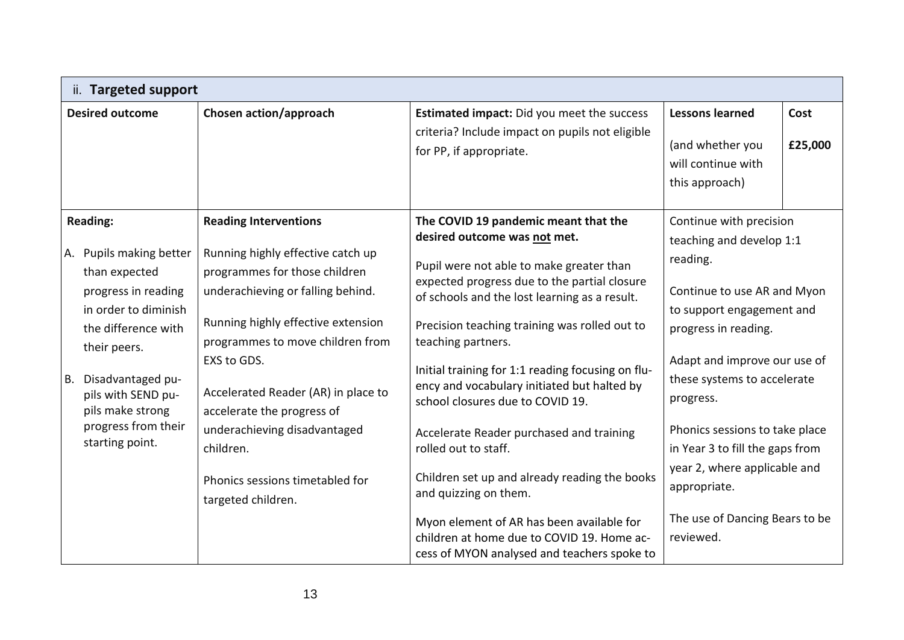| ii. Targeted support                                                                                                                                                                                                                                             |                                                                                                                                                                                                                                                                                                                                                                                                             |                                                                                                                                                                                                                                                                                                                                                                                                                                                                                                                                                                                                                                                                                                                          |                                                                                                                                                                                                                                                                                                                                                                                                     |                 |  |
|------------------------------------------------------------------------------------------------------------------------------------------------------------------------------------------------------------------------------------------------------------------|-------------------------------------------------------------------------------------------------------------------------------------------------------------------------------------------------------------------------------------------------------------------------------------------------------------------------------------------------------------------------------------------------------------|--------------------------------------------------------------------------------------------------------------------------------------------------------------------------------------------------------------------------------------------------------------------------------------------------------------------------------------------------------------------------------------------------------------------------------------------------------------------------------------------------------------------------------------------------------------------------------------------------------------------------------------------------------------------------------------------------------------------------|-----------------------------------------------------------------------------------------------------------------------------------------------------------------------------------------------------------------------------------------------------------------------------------------------------------------------------------------------------------------------------------------------------|-----------------|--|
| <b>Desired outcome</b>                                                                                                                                                                                                                                           | Chosen action/approach                                                                                                                                                                                                                                                                                                                                                                                      | Estimated impact: Did you meet the success<br>criteria? Include impact on pupils not eligible<br>for PP, if appropriate.                                                                                                                                                                                                                                                                                                                                                                                                                                                                                                                                                                                                 | <b>Lessons learned</b><br>(and whether you<br>will continue with<br>this approach)                                                                                                                                                                                                                                                                                                                  | Cost<br>£25,000 |  |
| <b>Reading:</b><br>A. Pupils making better<br>than expected<br>progress in reading<br>in order to diminish<br>the difference with<br>their peers.<br>Disadvantaged pu-<br>B.<br>pils with SEND pu-<br>pils make strong<br>progress from their<br>starting point. | <b>Reading Interventions</b><br>Running highly effective catch up<br>programmes for those children<br>underachieving or falling behind.<br>Running highly effective extension<br>programmes to move children from<br>EXS to GDS.<br>Accelerated Reader (AR) in place to<br>accelerate the progress of<br>underachieving disadvantaged<br>children.<br>Phonics sessions timetabled for<br>targeted children. | The COVID 19 pandemic meant that the<br>desired outcome was not met.<br>Pupil were not able to make greater than<br>expected progress due to the partial closure<br>of schools and the lost learning as a result.<br>Precision teaching training was rolled out to<br>teaching partners.<br>Initial training for 1:1 reading focusing on flu-<br>ency and vocabulary initiated but halted by<br>school closures due to COVID 19.<br>Accelerate Reader purchased and training<br>rolled out to staff.<br>Children set up and already reading the books<br>and quizzing on them.<br>Myon element of AR has been available for<br>children at home due to COVID 19. Home ac-<br>cess of MYON analysed and teachers spoke to | Continue with precision<br>teaching and develop 1:1<br>reading.<br>Continue to use AR and Myon<br>to support engagement and<br>progress in reading.<br>Adapt and improve our use of<br>these systems to accelerate<br>progress.<br>Phonics sessions to take place<br>in Year 3 to fill the gaps from<br>year 2, where applicable and<br>appropriate.<br>The use of Dancing Bears to be<br>reviewed. |                 |  |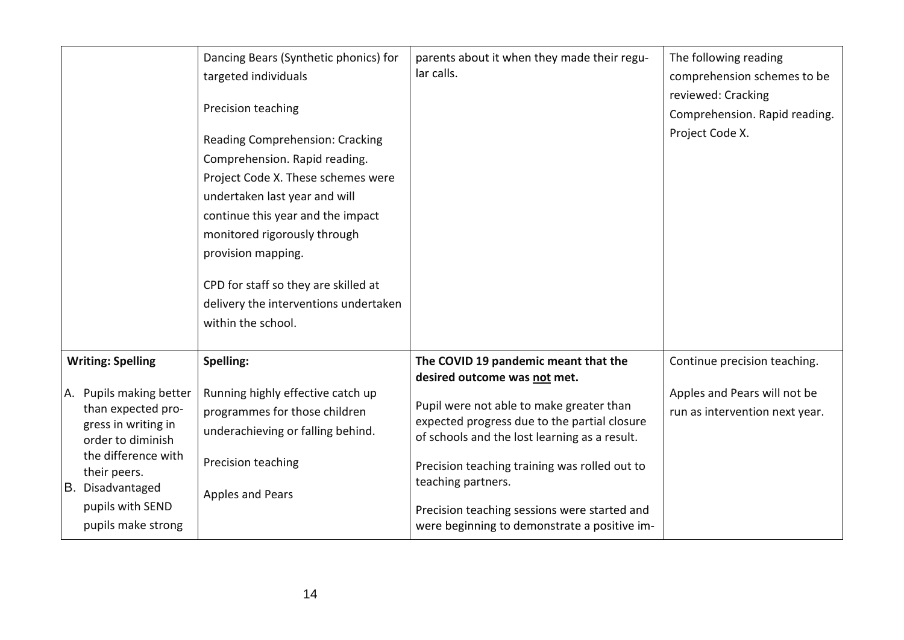|                                                                                                                                                                                                                            | Dancing Bears (Synthetic phonics) for<br>targeted individuals<br>Precision teaching<br>Reading Comprehension: Cracking<br>Comprehension. Rapid reading.<br>Project Code X. These schemes were<br>undertaken last year and will<br>continue this year and the impact<br>monitored rigorously through<br>provision mapping.<br>CPD for staff so they are skilled at<br>delivery the interventions undertaken<br>within the school. | parents about it when they made their regu-<br>lar calls.                                                                                                                                                                                                                                                                                                                                | The following reading<br>comprehension schemes to be<br>reviewed: Cracking<br>Comprehension. Rapid reading.<br>Project Code X. |
|----------------------------------------------------------------------------------------------------------------------------------------------------------------------------------------------------------------------------|----------------------------------------------------------------------------------------------------------------------------------------------------------------------------------------------------------------------------------------------------------------------------------------------------------------------------------------------------------------------------------------------------------------------------------|------------------------------------------------------------------------------------------------------------------------------------------------------------------------------------------------------------------------------------------------------------------------------------------------------------------------------------------------------------------------------------------|--------------------------------------------------------------------------------------------------------------------------------|
| <b>Writing: Spelling</b><br>A. Pupils making better<br>than expected pro-<br>gress in writing in<br>order to diminish<br>the difference with<br>their peers.<br>B. Disadvantaged<br>pupils with SEND<br>pupils make strong | Spelling:<br>Running highly effective catch up<br>programmes for those children<br>underachieving or falling behind.<br>Precision teaching<br>Apples and Pears                                                                                                                                                                                                                                                                   | The COVID 19 pandemic meant that the<br>desired outcome was not met.<br>Pupil were not able to make greater than<br>expected progress due to the partial closure<br>of schools and the lost learning as a result.<br>Precision teaching training was rolled out to<br>teaching partners.<br>Precision teaching sessions were started and<br>were beginning to demonstrate a positive im- | Continue precision teaching.<br>Apples and Pears will not be<br>run as intervention next year.                                 |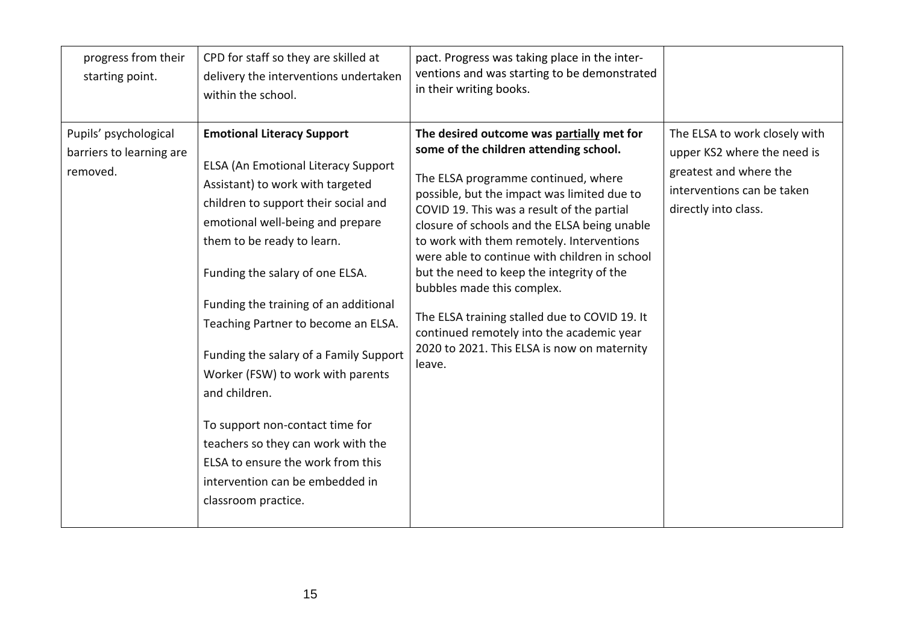| progress from their<br>starting point.                        | CPD for staff so they are skilled at<br>delivery the interventions undertaken<br>within the school.                                                                                                                                                                                                                                                                                                                                                                                                                                                                                                                      | pact. Progress was taking place in the inter-<br>ventions and was starting to be demonstrated<br>in their writing books.                                                                                                                                                                                                                                                                                                                                                                                                                                                                                |                                                                                                                                              |
|---------------------------------------------------------------|--------------------------------------------------------------------------------------------------------------------------------------------------------------------------------------------------------------------------------------------------------------------------------------------------------------------------------------------------------------------------------------------------------------------------------------------------------------------------------------------------------------------------------------------------------------------------------------------------------------------------|---------------------------------------------------------------------------------------------------------------------------------------------------------------------------------------------------------------------------------------------------------------------------------------------------------------------------------------------------------------------------------------------------------------------------------------------------------------------------------------------------------------------------------------------------------------------------------------------------------|----------------------------------------------------------------------------------------------------------------------------------------------|
| Pupils' psychological<br>barriers to learning are<br>removed. | <b>Emotional Literacy Support</b><br><b>ELSA (An Emotional Literacy Support</b><br>Assistant) to work with targeted<br>children to support their social and<br>emotional well-being and prepare<br>them to be ready to learn.<br>Funding the salary of one ELSA.<br>Funding the training of an additional<br>Teaching Partner to become an ELSA.<br>Funding the salary of a Family Support<br>Worker (FSW) to work with parents<br>and children.<br>To support non-contact time for<br>teachers so they can work with the<br>ELSA to ensure the work from this<br>intervention can be embedded in<br>classroom practice. | The desired outcome was partially met for<br>some of the children attending school.<br>The ELSA programme continued, where<br>possible, but the impact was limited due to<br>COVID 19. This was a result of the partial<br>closure of schools and the ELSA being unable<br>to work with them remotely. Interventions<br>were able to continue with children in school<br>but the need to keep the integrity of the<br>bubbles made this complex.<br>The ELSA training stalled due to COVID 19. It<br>continued remotely into the academic year<br>2020 to 2021. This ELSA is now on maternity<br>leave. | The ELSA to work closely with<br>upper KS2 where the need is<br>greatest and where the<br>interventions can be taken<br>directly into class. |